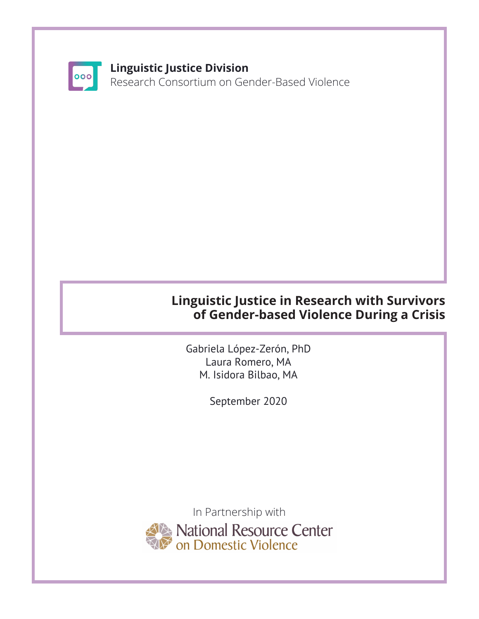

## **Linguistic Justice Division**

Research Consortium on Gender-Based Violence

## **Linguistic Justice in Research with Survivors of Gender-based Violence During a Crisis**

Gabriela López-Zerón, PhD Laura Romero, MA M. Isidora Bilbao, MA

September 2020

In Partnership with National Resource Center<br>Ton Domestic Violence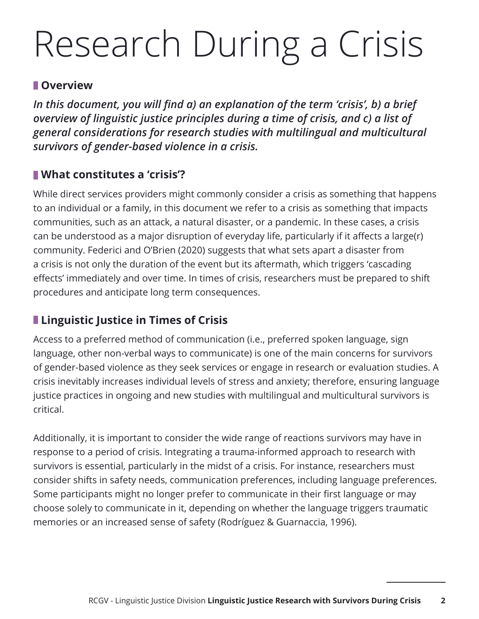# Research During a Crisis

#### **Overview**

*In this document, you will find a) an explanation of the term 'crisis', b) a brief overview of linguistic justice principles during a time of crisis, and c) a list of general considerations for research studies with multilingual and multicultural survivors of gender-based violence in a crisis.* 

## **What constitutes a 'crisis'?**

While direct services providers might commonly consider a crisis as something that happens to an individual or a family, in this document we refer to a crisis as something that impacts communities, such as an attack, a natural disaster, or a pandemic. In these cases, a crisis can be understood as a major disruption of everyday life, particularly if it affects a large(r) community. Federici and O'Brien (2020) suggests that what sets apart a disaster from a crisis is not only the duration of the event but its aftermath, which triggers 'cascading effects' immediately and over time. In times of crisis, researchers must be prepared to shift procedures and anticipate long term consequences.

## **Linguistic Justice in Times of Crisis**

Access to a preferred method of communication (i.e., preferred spoken language, sign language, other non-verbal ways to communicate) is one of the main concerns for survivors of gender-based violence as they seek services or engage in research or evaluation studies. A crisis inevitably increases individual levels of stress and anxiety; therefore, ensuring language justice practices in ongoing and new studies with multilingual and multicultural survivors is critical.

Additionally, it is important to consider the wide range of reactions survivors may have in response to a period of crisis. Integrating a trauma-informed approach to research with survivors is essential, particularly in the midst of a crisis. For instance, researchers must consider shifts in safety needs, communication preferences, including language preferences. Some participants might no longer prefer to communicate in their first language or may choose solely to communicate in it, depending on whether the language triggers traumatic memories or an increased sense of safety (Rodríguez & Guarnaccia, 1996).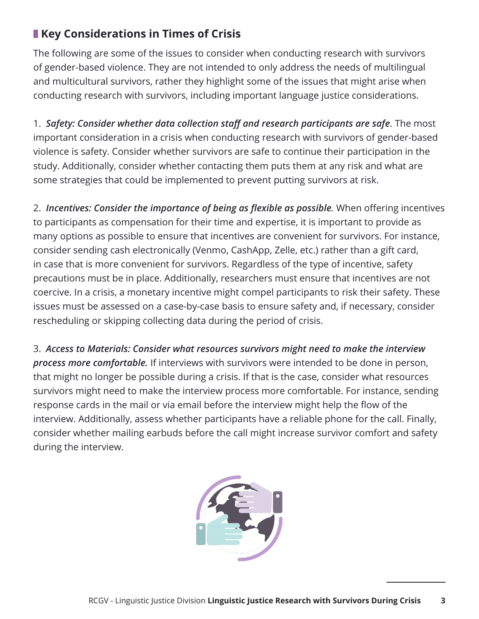## **Key Considerations in Times of Crisis**

The following are some of the issues to consider when conducting research with survivors of gender-based violence. They are not intended to only address the needs of multilingual and multicultural survivors, rather they highlight some of the issues that might arise when conducting research with survivors, including important language justice considerations.

1. *Safety: Consider whether data collection staff and research participants are safe*. The most important consideration in a crisis when conducting research with survivors of gender-based violence is safety. Consider whether survivors are safe to continue their participation in the study. Additionally, consider whether contacting them puts them at any risk and what are some strategies that could be implemented to prevent putting survivors at risk.

2. *Incentives: Consider the importance of being as flexible as possible.* When offering incentives to participants as compensation for their time and expertise, it is important to provide as many options as possible to ensure that incentives are convenient for survivors. For instance, consider sending cash electronically (Venmo, CashApp, Zelle, etc.) rather than a gift card, in case that is more convenient for survivors. Regardless of the type of incentive, safety precautions must be in place. Additionally, researchers must ensure that incentives are not coercive. In a crisis, a monetary incentive might compel participants to risk their safety. These issues must be assessed on a case-by-case basis to ensure safety and, if necessary, consider rescheduling or skipping collecting data during the period of crisis.

3. *Access to Materials: Consider what resources survivors might need to make the interview process more comfortable.* If interviews with survivors were intended to be done in person, that might no longer be possible during a crisis. If that is the case, consider what resources survivors might need to make the interview process more comfortable. For instance, sending response cards in the mail or via email before the interview might help the flow of the interview. Additionally, assess whether participants have a reliable phone for the call. Finally, consider whether mailing earbuds before the call might increase survivor comfort and safety during the interview.

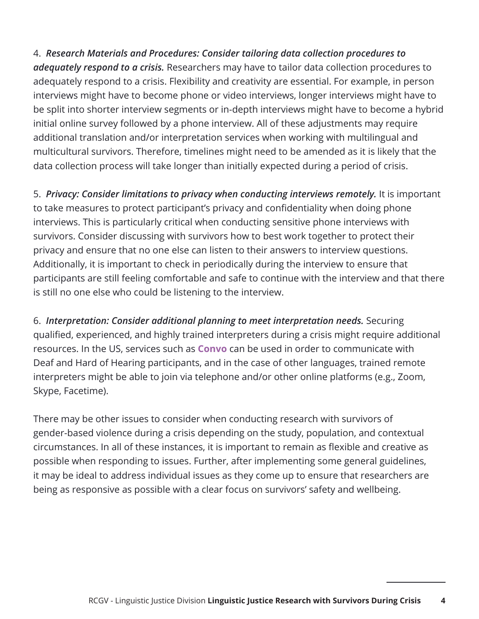4. *Research Materials and Procedures: Consider tailoring data collection procedures to adequately respond to a crisis.* Researchers may have to tailor data collection procedures to adequately respond to a crisis. Flexibility and creativity are essential. For example, in person interviews might have to become phone or video interviews, longer interviews might have to be split into shorter interview segments or in-depth interviews might have to become a hybrid initial online survey followed by a phone interview. All of these adjustments may require additional translation and/or interpretation services when working with multilingual and multicultural survivors. Therefore, timelines might need to be amended as it is likely that the data collection process will take longer than initially expected during a period of crisis.

5. *Privacy: Consider limitations to privacy when conducting interviews remotely.* It is important to take measures to protect participant's privacy and confidentiality when doing phone interviews. This is particularly critical when conducting sensitive phone interviews with survivors. Consider discussing with survivors how to best work together to protect their privacy and ensure that no one else can listen to their answers to interview questions. Additionally, it is important to check in periodically during the interview to ensure that participants are still feeling comfortable and safe to continue with the interview and that there is still no one else who could be listening to the interview.

6. *Interpretation: Consider additional planning to meet interpretation needs.* Securing qualified, experienced, and highly trained interpreters during a crisis might require additional resources. In the US, services such as **Convo** can be used in order to communicate with Deaf and Hard of Hearing participants, and in the case of other languages, trained remote interpreters might be able to join via telephone and/or other online platforms (e.g., Zoom, Skype, Facetime).

There may be other issues to consider when conducting research with survivors of gender-based violence during a crisis depending on the study, population, and contextual circumstances. In all of these instances, it is important to remain as flexible and creative as possible when responding to issues. Further, after implementing some general guidelines, it may be ideal to address individual issues as they come up to ensure that researchers are being as responsive as possible with a clear focus on survivors' safety and wellbeing.